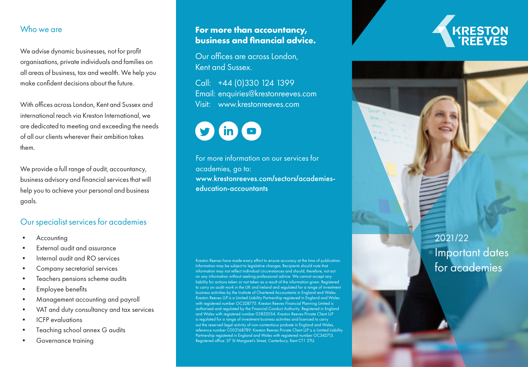#### Who we are

We advise dynamic businesses, not for profit organisations, private individuals and families on all areas of business, tax and wealth. We help you make confident decisions about the future.

With offices across London, Kent and Sussex and international reach via Kreston International, we are dedicated to meeting and exceeding the needs of all our clients wherever their ambition takes them.

We provide a full range of audit, accountancy, business advisory and financial services that will help you to achieve your personal and business goals.

#### Our specialist services for academies

- **Accounting**
- External audit and assurance
- Internal audit and RO services
- Company secretarial services
- Teachers pensions scheme audits
- Employee benefits
- Management accounting and payroll
- VAT and duty consultancy and tax services
- ICFP evaluations
- Teaching school annex G audits
- Governance training

# **For more than accountancy, business and financial advice.**

Our offices are across London, Kent and Sussex.

Call: +44 (0)330 124 1399 Email: [enquiries@krestonreeves.com](mailto:enquiries%40krestonreeves.com?subject=) Visit: [www.krestonreeves.com](http://www.krestonreeves.com)



For more information on our services for academies, go to: [www.krestonreeves.com](https://www.krestonreeves.com/sectors/academies-education/) **/**sectors **/**academies[education-accountants](https://www.krestonreeves.com/sectors/academies-education/)

Kreston Reeves have made every effort to ensure accuracy at the time of publication. Information may be subject to legislative changes. Recipients should note that information may not reflect individual circumstances and should, therefore, not act on any information without seeking professional advice. We cannot accept any liability for actions taken or not taken as a result of the information given. Registered to carry on audit work in the UK and Ireland and regulated for a range of investment business activities by the Institute of Chartered Accountants in England and Wales. Kreston Reeves LLP is a Limited Liability Partnership registered in England and Wales with registered number OC328775. Kreston Reeves Financial Planning Limited is authorised and regulated by the Financial Conduct Authority. Registered in England and Wales with registered number 03852054. Kreston Reeves Private Client LLP is regulated for a range of investment business activities and licenced to carry out the reserved legal activity of non-contentious probate in England and Wales, reference number C002168789. Kreston Reeves Private Client LLP is a Limited Liability Partnership registered in England and Wales with registered number OC342713. Registered office: 37 St Margaret's Street, Canterbury, Kent CT1 2TU.

2021 /22 Important dates for academies